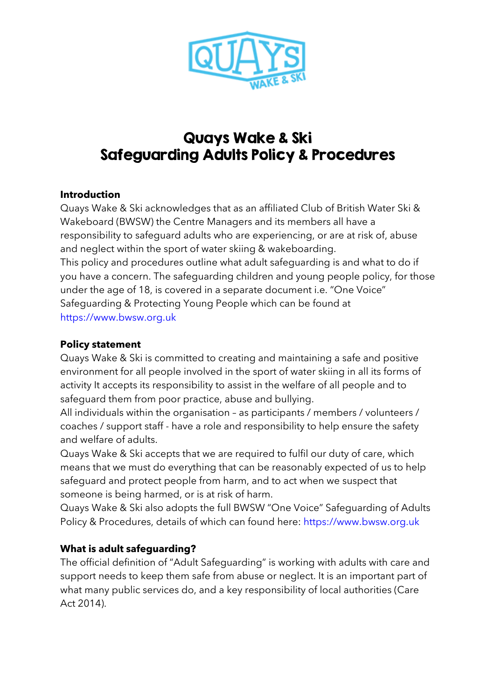

# Quays Wake & Ski Safeguarding Adults Policy & Procedures

#### **Introduction**

Quays Wake & Ski acknowledges that as an affiliated Club of British Water Ski & Wakeboard (BWSW) the Centre Managers and its members all have a responsibility to safeguard adults who are experiencing, or are at risk of, abuse and neglect within the sport of water skiing & wakeboarding. This policy and procedures outline what adult safeguarding is and what to do if you have a concern. The safeguarding children and young people policy, for those under the age of 18, is covered in a separate document i.e. "One Voice" Safeguarding & Protecting Young People which can be found at https://www.bwsw.org.uk

# **Policy statement**

Quays Wake & Ski is committed to creating and maintaining a safe and positive environment for all people involved in the sport of water skiing in all its forms of activity It accepts its responsibility to assist in the welfare of all people and to safeguard them from poor practice, abuse and bullying.

All individuals within the organisation – as participants / members / volunteers / coaches / support staff - have a role and responsibility to help ensure the safety and welfare of adults.

Quays Wake & Ski accepts that we are required to fulfil our duty of care, which means that we must do everything that can be reasonably expected of us to help safeguard and protect people from harm, and to act when we suspect that someone is being harmed, or is at risk of harm.

Quays Wake & Ski also adopts the full BWSW "One Voice" Safeguarding of Adults Policy & Procedures, details of which can found here: https://www.bwsw.org.uk

# **What is adult safeguarding?**

The official definition of "Adult Safeguarding" is working with adults with care and support needs to keep them safe from abuse or neglect. It is an important part of what many public services do, and a key responsibility of local authorities (Care Act 2014).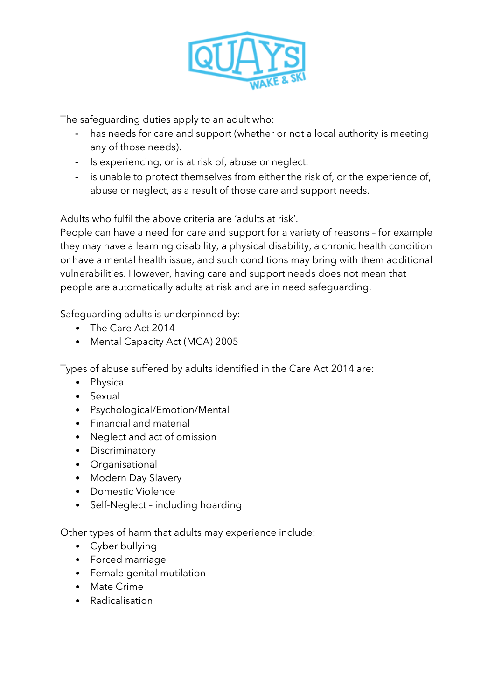

The safeguarding duties apply to an adult who:

- has needs for care and support (whether or not a local authority is meeting any of those needs).
- Is experiencing, or is at risk of, abuse or neglect.
- is unable to protect themselves from either the risk of, or the experience of, abuse or neglect, as a result of those care and support needs.

Adults who fulfil the above criteria are 'adults at risk'.

People can have a need for care and support for a variety of reasons – for example they may have a learning disability, a physical disability, a chronic health condition or have a mental health issue, and such conditions may bring with them additional vulnerabilities. However, having care and support needs does not mean that people are automatically adults at risk and are in need safeguarding.

Safeguarding adults is underpinned by:

- The Care Act 2014
- Mental Capacity Act (MCA) 2005

Types of abuse suffered by adults identified in the Care Act 2014 are:

- Physical
- Sexual
- Psychological/Emotion/Mental
- Financial and material
- Neglect and act of omission
- Discriminatory
- Organisational
- Modern Day Slavery
- Domestic Violence
- Self-Neglect including hoarding

Other types of harm that adults may experience include:

- Cyber bullying
- Forced marriage
- Female genital mutilation
- Mate Crime
- Radicalisation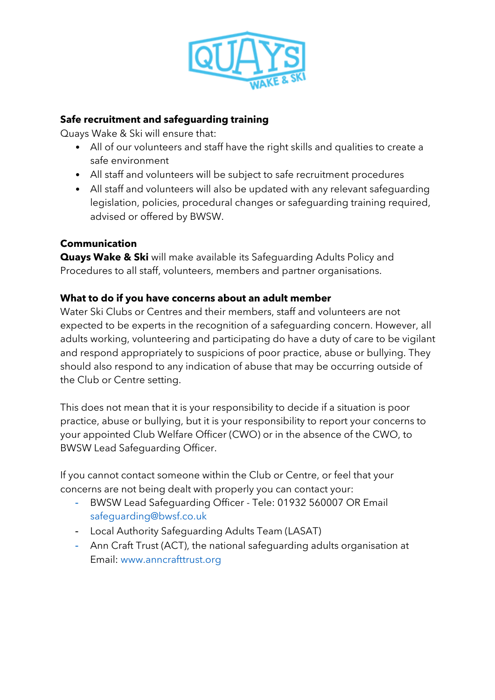

#### **Safe recruitment and safeguarding training**

Quays Wake & Ski will ensure that:

- All of our volunteers and staff have the right skills and qualities to create a safe environment
- All staff and volunteers will be subject to safe recruitment procedures
- All staff and volunteers will also be updated with any relevant safeguarding legislation, policies, procedural changes or safeguarding training required, advised or offered by BWSW.

# **Communication**

**Quays Wake & Ski** will make available its Safeguarding Adults Policy and Procedures to all staff, volunteers, members and partner organisations.

# **What to do if you have concerns about an adult member**

Water Ski Clubs or Centres and their members, staff and volunteers are not expected to be experts in the recognition of a safeguarding concern. However, all adults working, volunteering and participating do have a duty of care to be vigilant and respond appropriately to suspicions of poor practice, abuse or bullying. They should also respond to any indication of abuse that may be occurring outside of the Club or Centre setting.

This does not mean that it is your responsibility to decide if a situation is poor practice, abuse or bullying, but it is your responsibility to report your concerns to your appointed Club Welfare Officer (CWO) or in the absence of the CWO, to BWSW Lead Safeguarding Officer.

If you cannot contact someone within the Club or Centre, or feel that your concerns are not being dealt with properly you can contact your:

- BWSW Lead Safeguarding Officer Tele: 01932 560007 OR Email safeguarding@bwsf.co.uk
- Local Authority Safeguarding Adults Team (LASAT)
- Ann Craft Trust (ACT), the national safeguarding adults organisation at Email: www.anncrafttrust.org